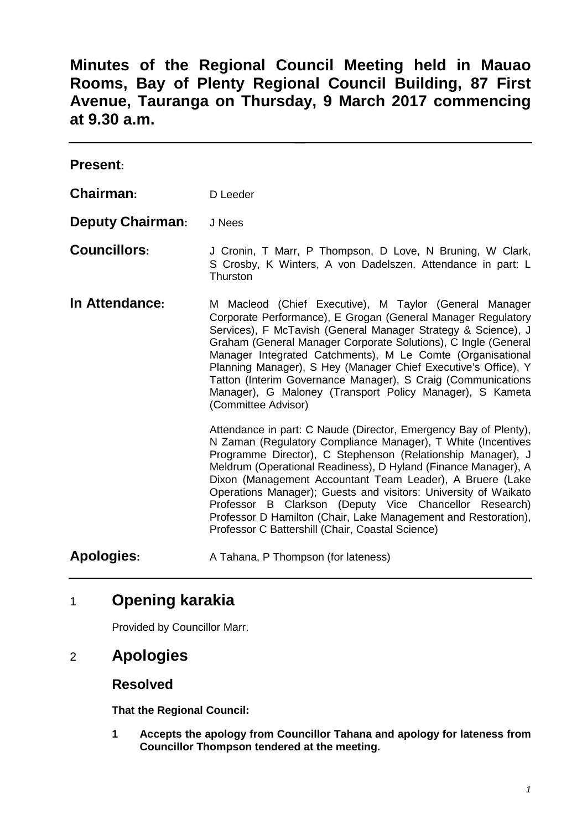**Minutes of the Regional Council Meeting held in Mauao Rooms, Bay of Plenty Regional Council Building, 87 First Avenue, Tauranga on Thursday, 9 March 2017 commencing at 9.30 a.m.**

| <b>Present:</b>         |                                                                                                                                                                                                                                                                                                                                                                                                                                                                                                                                                                                   |
|-------------------------|-----------------------------------------------------------------------------------------------------------------------------------------------------------------------------------------------------------------------------------------------------------------------------------------------------------------------------------------------------------------------------------------------------------------------------------------------------------------------------------------------------------------------------------------------------------------------------------|
| Chairman:               | D Leeder                                                                                                                                                                                                                                                                                                                                                                                                                                                                                                                                                                          |
| <b>Deputy Chairman:</b> | J Nees                                                                                                                                                                                                                                                                                                                                                                                                                                                                                                                                                                            |
| <b>Councillors:</b>     | J Cronin, T Marr, P Thompson, D Love, N Bruning, W Clark,<br>S Crosby, K Winters, A von Dadelszen. Attendance in part: L<br>Thurston                                                                                                                                                                                                                                                                                                                                                                                                                                              |
| In Attendance:          | M Macleod (Chief Executive), M Taylor (General Manager<br>Corporate Performance), E Grogan (General Manager Regulatory<br>Services), F McTavish (General Manager Strategy & Science), J<br>Graham (General Manager Corporate Solutions), C Ingle (General<br>Manager Integrated Catchments), M Le Comte (Organisational<br>Planning Manager), S Hey (Manager Chief Executive's Office), Y<br>Tatton (Interim Governance Manager), S Craig (Communications<br>Manager), G Maloney (Transport Policy Manager), S Kameta<br>(Committee Advisor)                                      |
|                         | Attendance in part: C Naude (Director, Emergency Bay of Plenty),<br>N Zaman (Regulatory Compliance Manager), T White (Incentives<br>Programme Director), C Stephenson (Relationship Manager), J<br>Meldrum (Operational Readiness), D Hyland (Finance Manager), A<br>Dixon (Management Accountant Team Leader), A Bruere (Lake<br>Operations Manager); Guests and visitors: University of Waikato<br>Professor B Clarkson (Deputy Vice Chancellor Research)<br>Professor D Hamilton (Chair, Lake Management and Restoration),<br>Professor C Battershill (Chair, Coastal Science) |
| <b>Apologies:</b>       | A Tahana, P Thompson (for lateness)                                                                                                                                                                                                                                                                                                                                                                                                                                                                                                                                               |

# 1 **Opening karakia**

Provided by Councillor Marr.

## 2 **Apologies**

## **Resolved**

**That the Regional Council:**

**1 Accepts the apology from Councillor Tahana and apology for lateness from Councillor Thompson tendered at the meeting.**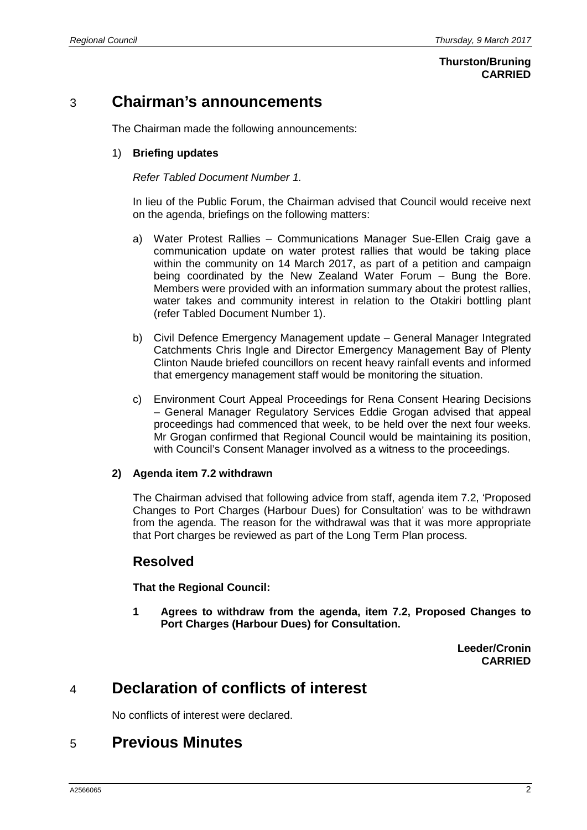#### **Thurston/Bruning CARRIED**

# 3 **Chairman's announcements**

The Chairman made the following announcements:

#### 1) **Briefing updates**

#### *Refer Tabled Document Number 1.*

In lieu of the Public Forum, the Chairman advised that Council would receive next on the agenda, briefings on the following matters:

- a) Water Protest Rallies Communications Manager Sue-Ellen Craig gave a communication update on water protest rallies that would be taking place within the community on 14 March 2017, as part of a petition and campaign being coordinated by the New Zealand Water Forum – Bung the Bore. Members were provided with an information summary about the protest rallies, water takes and community interest in relation to the Otakiri bottling plant (refer Tabled Document Number 1).
- b) Civil Defence Emergency Management update General Manager Integrated Catchments Chris Ingle and Director Emergency Management Bay of Plenty Clinton Naude briefed councillors on recent heavy rainfall events and informed that emergency management staff would be monitoring the situation.
- c) Environment Court Appeal Proceedings for Rena Consent Hearing Decisions – General Manager Regulatory Services Eddie Grogan advised that appeal proceedings had commenced that week, to be held over the next four weeks. Mr Grogan confirmed that Regional Council would be maintaining its position, with Council's Consent Manager involved as a witness to the proceedings.

#### **2) Agenda item 7.2 withdrawn**

The Chairman advised that following advice from staff, agenda item 7.2, 'Proposed Changes to Port Charges (Harbour Dues) for Consultation' was to be withdrawn from the agenda. The reason for the withdrawal was that it was more appropriate that Port charges be reviewed as part of the Long Term Plan process.

## **Resolved**

**That the Regional Council:**

**1 Agrees to withdraw from the agenda, item 7.2, Proposed Changes to Port Charges (Harbour Dues) for Consultation.**

> **Leeder/Cronin CARRIED**

# 4 **Declaration of conflicts of interest**

No conflicts of interest were declared.

# 5 **Previous Minutes**

A2566065 2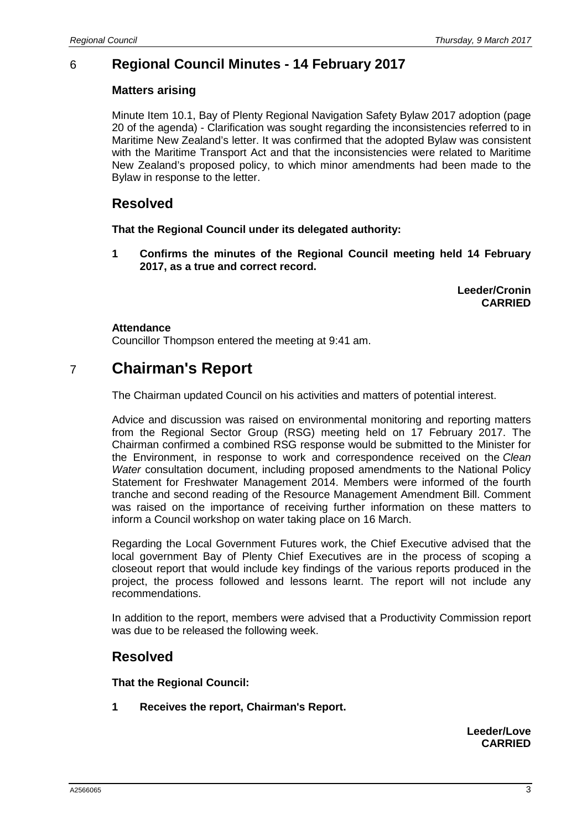## 6 **Regional Council Minutes - 14 February 2017**

#### **Matters arising**

Minute Item 10.1, Bay of Plenty Regional Navigation Safety Bylaw 2017 adoption (page 20 of the agenda) - Clarification was sought regarding the inconsistencies referred to in Maritime New Zealand's letter. It was confirmed that the adopted Bylaw was consistent with the Maritime Transport Act and that the inconsistencies were related to Maritime New Zealand's proposed policy, to which minor amendments had been made to the Bylaw in response to the letter.

#### **Resolved**

**That the Regional Council under its delegated authority:**

**1 Confirms the minutes of the Regional Council meeting held 14 February 2017, as a true and correct record.**

> **Leeder/Cronin CARRIED**

#### **Attendance**

Councillor Thompson entered the meeting at 9:41 am.

# 7 **Chairman's Report**

The Chairman updated Council on his activities and matters of potential interest.

Advice and discussion was raised on environmental monitoring and reporting matters from the Regional Sector Group (RSG) meeting held on 17 February 2017. The Chairman confirmed a combined RSG response would be submitted to the Minister for the Environment, in response to work and correspondence received on the *Clean Water* consultation document, including proposed amendments to the National Policy Statement for Freshwater Management 2014. Members were informed of the fourth tranche and second reading of the Resource Management Amendment Bill. Comment was raised on the importance of receiving further information on these matters to inform a Council workshop on water taking place on 16 March.

Regarding the Local Government Futures work, the Chief Executive advised that the local government Bay of Plenty Chief Executives are in the process of scoping a closeout report that would include key findings of the various reports produced in the project, the process followed and lessons learnt. The report will not include any recommendations.

In addition to the report, members were advised that a Productivity Commission report was due to be released the following week.

## **Resolved**

**That the Regional Council:**

**1 Receives the report, Chairman's Report.**

**Leeder/Love CARRIED**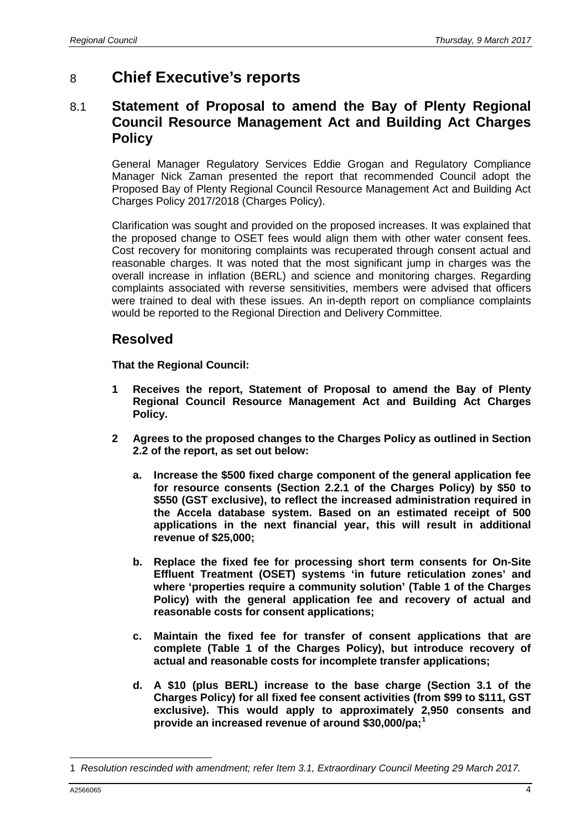# 8 **Chief Executive's reports**

## 8.1 **Statement of Proposal to amend the Bay of Plenty Regional Council Resource Management Act and Building Act Charges Policy**

General Manager Regulatory Services Eddie Grogan and Regulatory Compliance Manager Nick Zaman presented the report that recommended Council adopt the Proposed Bay of Plenty Regional Council Resource Management Act and Building Act Charges Policy 2017/2018 (Charges Policy).

Clarification was sought and provided on the proposed increases. It was explained that the proposed change to OSET fees would align them with other water consent fees. Cost recovery for monitoring complaints was recuperated through consent actual and reasonable charges. It was noted that the most significant jump in charges was the overall increase in inflation (BERL) and science and monitoring charges. Regarding complaints associated with reverse sensitivities, members were advised that officers were trained to deal with these issues. An in-depth report on compliance complaints would be reported to the Regional Direction and Delivery Committee.

#### **Resolved**

**That the Regional Council:**

- **1 Receives the report, Statement of Proposal to amend the Bay of Plenty Regional Council Resource Management Act and Building Act Charges Policy.**
- **2 Agrees to the proposed changes to the Charges Policy as outlined in Section 2.2 of the report, as set out below:**
	- **a. Increase the \$500 fixed charge component of the general application fee for resource consents (Section 2.2.1 of the Charges Policy) by \$50 to \$550 (GST exclusive), to reflect the increased administration required in the Accela database system. Based on an estimated receipt of 500 applications in the next financial year, this will result in additional revenue of \$25,000;**
	- **b. Replace the fixed fee for processing short term consents for On-Site Effluent Treatment (OSET) systems 'in future reticulation zones' and where 'properties require a community solution' (Table 1 of the Charges Policy) with the general application fee and recovery of actual and reasonable costs for consent applications;**
	- **c. Maintain the fixed fee for transfer of consent applications that are complete (Table 1 of the Charges Policy), but introduce recovery of actual and reasonable costs for incomplete transfer applications;**
	- **d. A \$10 (plus BERL) increase to the base charge (Section 3.1 of the Charges Policy) for all fixed fee consent activities (from \$99 to \$111, GST exclusive). This would apply to approximately 2,950 consents and provide an increased revenue of around \$30,000/pa;[1](#page-3-0)**

<span id="page-3-0"></span><sup>-</sup>1 *Resolution rescinded with amendment; refer Item 3.1, Extraordinary Council Meeting 29 March 2017.*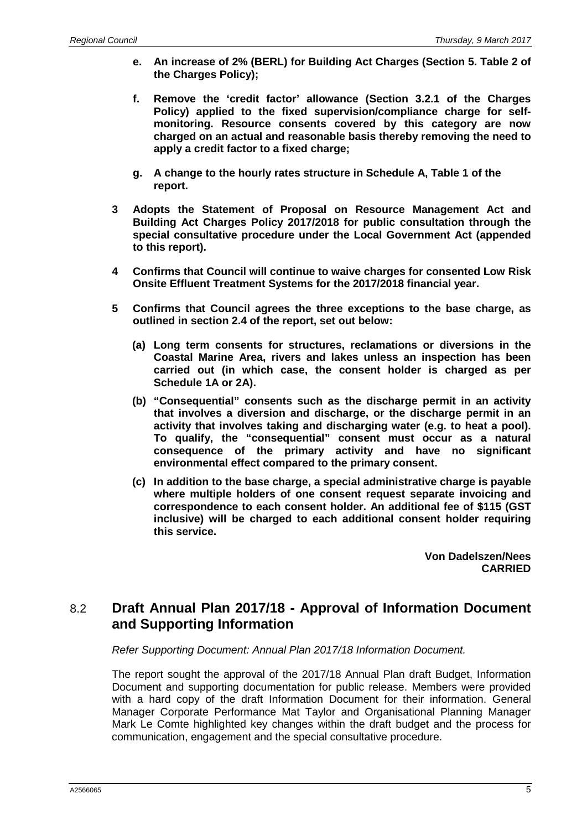- **e. An increase of 2% (BERL) for Building Act Charges (Section 5. Table 2 of the Charges Policy);**
- **f. Remove the 'credit factor' allowance (Section 3.2.1 of the Charges Policy) applied to the fixed supervision/compliance charge for selfmonitoring. Resource consents covered by this category are now charged on an actual and reasonable basis thereby removing the need to apply a credit factor to a fixed charge;**
- **g. A change to the hourly rates structure in Schedule A, Table 1 of the report.**
- **3 Adopts the Statement of Proposal on Resource Management Act and Building Act Charges Policy 2017/2018 for public consultation through the special consultative procedure under the Local Government Act (appended to this report).**
- **4 Confirms that Council will continue to waive charges for consented Low Risk Onsite Effluent Treatment Systems for the 2017/2018 financial year.**
- **5 Confirms that Council agrees the three exceptions to the base charge, as outlined in section 2.4 of the report, set out below:**
	- **(a) Long term consents for structures, reclamations or diversions in the Coastal Marine Area, rivers and lakes unless an inspection has been carried out (in which case, the consent holder is charged as per Schedule 1A or 2A).**
	- **(b) "Consequential" consents such as the discharge permit in an activity that involves a diversion and discharge, or the discharge permit in an activity that involves taking and discharging water (e.g. to heat a pool). To qualify, the "consequential" consent must occur as a natural consequence of the primary activity and have no significant environmental effect compared to the primary consent.**
	- **(c) In addition to the base charge, a special administrative charge is payable where multiple holders of one consent request separate invoicing and correspondence to each consent holder. An additional fee of \$115 (GST inclusive) will be charged to each additional consent holder requiring this service.**

**Von Dadelszen/Nees CARRIED**

## 8.2 **Draft Annual Plan 2017/18 - Approval of Information Document and Supporting Information**

*Refer Supporting Document: Annual Plan 2017/18 Information Document.*

The report sought the approval of the 2017/18 Annual Plan draft Budget, Information Document and supporting documentation for public release. Members were provided with a hard copy of the draft Information Document for their information. General Manager Corporate Performance Mat Taylor and Organisational Planning Manager Mark Le Comte highlighted key changes within the draft budget and the process for communication, engagement and the special consultative procedure.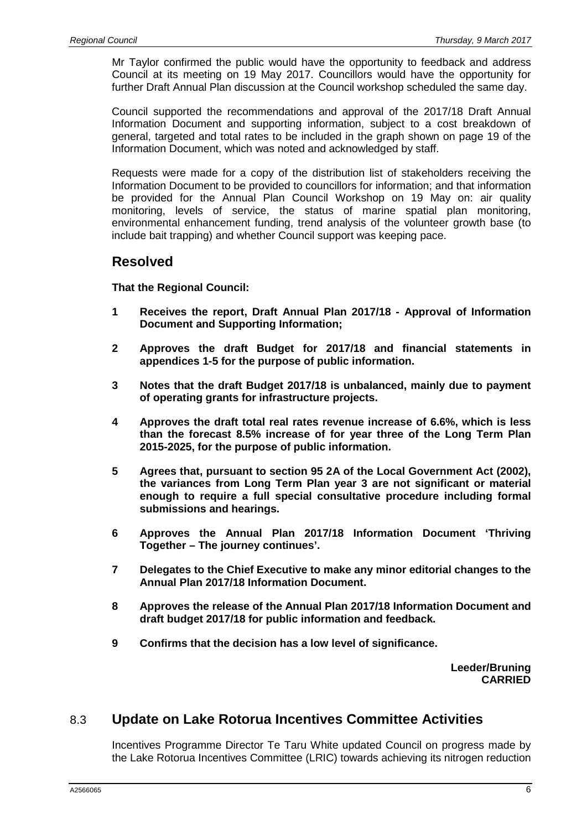Mr Taylor confirmed the public would have the opportunity to feedback and address Council at its meeting on 19 May 2017. Councillors would have the opportunity for further Draft Annual Plan discussion at the Council workshop scheduled the same day.

Council supported the recommendations and approval of the 2017/18 Draft Annual Information Document and supporting information, subject to a cost breakdown of general, targeted and total rates to be included in the graph shown on page 19 of the Information Document, which was noted and acknowledged by staff.

Requests were made for a copy of the distribution list of stakeholders receiving the Information Document to be provided to councillors for information; and that information be provided for the Annual Plan Council Workshop on 19 May on: air quality monitoring, levels of service, the status of marine spatial plan monitoring, environmental enhancement funding, trend analysis of the volunteer growth base (to include bait trapping) and whether Council support was keeping pace.

#### **Resolved**

**That the Regional Council:**

- **1 Receives the report, Draft Annual Plan 2017/18 - Approval of Information Document and Supporting Information;**
- **2 Approves the draft Budget for 2017/18 and financial statements in appendices 1-5 for the purpose of public information.**
- **3 Notes that the draft Budget 2017/18 is unbalanced, mainly due to payment of operating grants for infrastructure projects.**
- **4 Approves the draft total real rates revenue increase of 6.6%, which is less than the forecast 8.5% increase of for year three of the Long Term Plan 2015-2025, for the purpose of public information.**
- **5 Agrees that, pursuant to section 95 2A of the Local Government Act (2002), the variances from Long Term Plan year 3 are not significant or material enough to require a full special consultative procedure including formal submissions and hearings.**
- **6 Approves the Annual Plan 2017/18 Information Document 'Thriving Together – The journey continues'.**
- **7 Delegates to the Chief Executive to make any minor editorial changes to the Annual Plan 2017/18 Information Document.**
- **8 Approves the release of the Annual Plan 2017/18 Information Document and draft budget 2017/18 for public information and feedback.**
- **9 Confirms that the decision has a low level of significance.**

**Leeder/Bruning CARRIED**

## 8.3 **Update on Lake Rotorua Incentives Committee Activities**

Incentives Programme Director Te Taru White updated Council on progress made by the Lake Rotorua Incentives Committee (LRIC) towards achieving its nitrogen reduction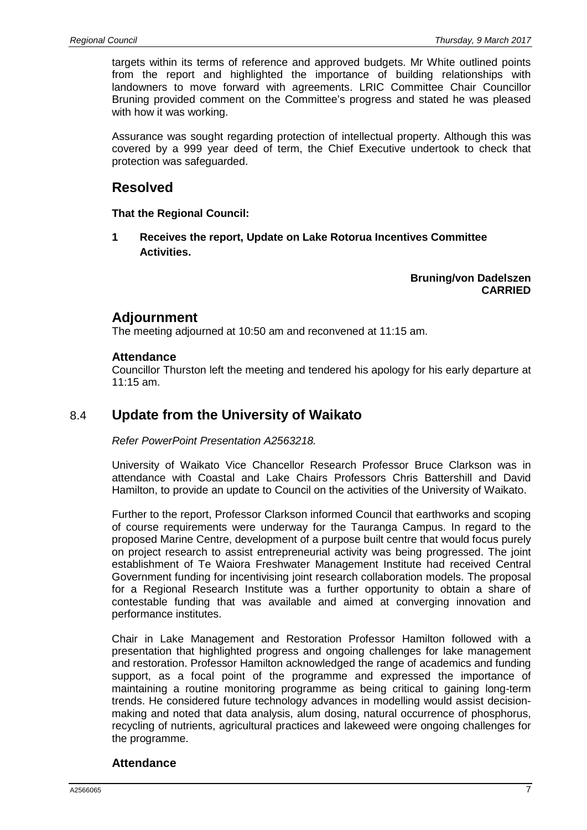targets within its terms of reference and approved budgets. Mr White outlined points from the report and highlighted the importance of building relationships with landowners to move forward with agreements. LRIC Committee Chair Councillor Bruning provided comment on the Committee's progress and stated he was pleased with how it was working.

Assurance was sought regarding protection of intellectual property. Although this was covered by a 999 year deed of term, the Chief Executive undertook to check that protection was safeguarded.

## **Resolved**

**That the Regional Council:**

**1 Receives the report, Update on Lake Rotorua Incentives Committee Activities.**

> **Bruning/von Dadelszen CARRIED**

## **Adjournment**

The meeting adjourned at 10:50 am and reconvened at 11:15 am.

#### **Attendance**

Councillor Thurston left the meeting and tendered his apology for his early departure at 11:15 am.

## 8.4 **Update from the University of Waikato**

*Refer PowerPoint Presentation A2563218.*

University of Waikato Vice Chancellor Research Professor Bruce Clarkson was in attendance with Coastal and Lake Chairs Professors Chris Battershill and David Hamilton, to provide an update to Council on the activities of the University of Waikato.

Further to the report, Professor Clarkson informed Council that earthworks and scoping of course requirements were underway for the Tauranga Campus. In regard to the proposed Marine Centre, development of a purpose built centre that would focus purely on project research to assist entrepreneurial activity was being progressed. The joint establishment of Te Waiora Freshwater Management Institute had received Central Government funding for incentivising joint research collaboration models. The proposal for a Regional Research Institute was a further opportunity to obtain a share of contestable funding that was available and aimed at converging innovation and performance institutes.

Chair in Lake Management and Restoration Professor Hamilton followed with a presentation that highlighted progress and ongoing challenges for lake management and restoration. Professor Hamilton acknowledged the range of academics and funding support, as a focal point of the programme and expressed the importance of maintaining a routine monitoring programme as being critical to gaining long-term trends. He considered future technology advances in modelling would assist decisionmaking and noted that data analysis, alum dosing, natural occurrence of phosphorus, recycling of nutrients, agricultural practices and lakeweed were ongoing challenges for the programme.

#### **Attendance**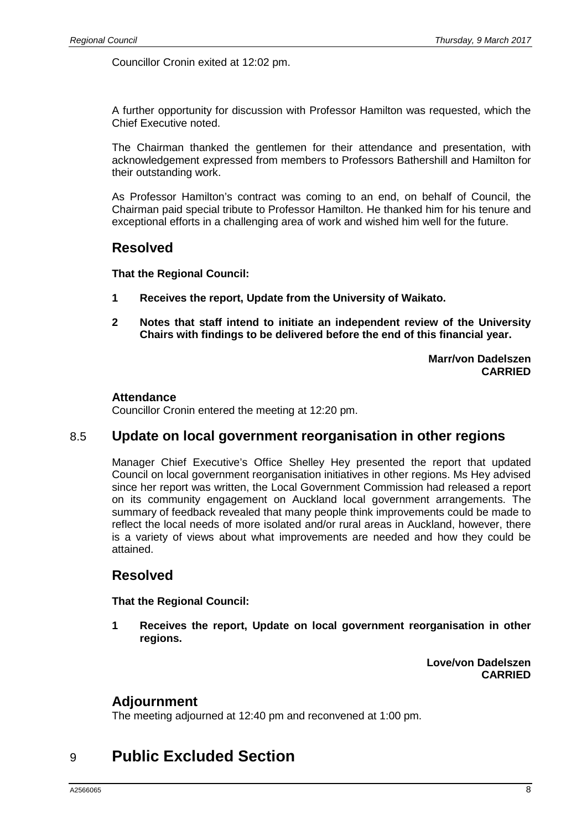Councillor Cronin exited at 12:02 pm.

A further opportunity for discussion with Professor Hamilton was requested, which the Chief Executive noted.

The Chairman thanked the gentlemen for their attendance and presentation, with acknowledgement expressed from members to Professors Bathershill and Hamilton for their outstanding work.

As Professor Hamilton's contract was coming to an end, on behalf of Council, the Chairman paid special tribute to Professor Hamilton. He thanked him for his tenure and exceptional efforts in a challenging area of work and wished him well for the future.

#### **Resolved**

**That the Regional Council:**

- **1 Receives the report, Update from the University of Waikato.**
- **2 Notes that staff intend to initiate an independent review of the University Chairs with findings to be delivered before the end of this financial year.**

**Marr/von Dadelszen CARRIED**

#### **Attendance**

Councillor Cronin entered the meeting at 12:20 pm.

#### 8.5 **Update on local government reorganisation in other regions**

Manager Chief Executive's Office Shelley Hey presented the report that updated Council on local government reorganisation initiatives in other regions. Ms Hey advised since her report was written, the Local Government Commission had released a report on its community engagement on Auckland local government arrangements. The summary of feedback revealed that many people think improvements could be made to reflect the local needs of more isolated and/or rural areas in Auckland, however, there is a variety of views about what improvements are needed and how they could be attained.

## **Resolved**

**That the Regional Council:**

**1 Receives the report, Update on local government reorganisation in other regions.**

> **Love/von Dadelszen CARRIED**

#### **Adjournment**

The meeting adjourned at 12:40 pm and reconvened at 1:00 pm.

# 9 **Public Excluded Section**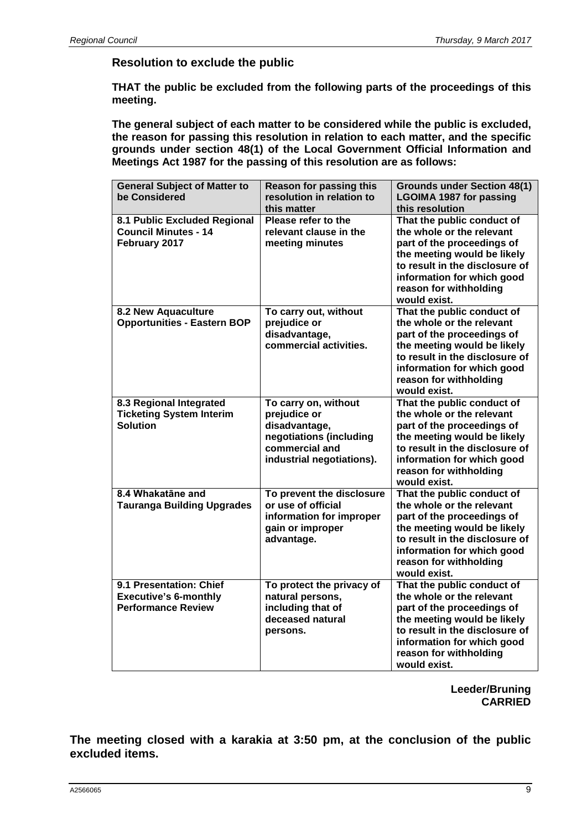#### **Resolution to exclude the public**

**THAT the public be excluded from the following parts of the proceedings of this meeting.**

**The general subject of each matter to be considered while the public is excluded, the reason for passing this resolution in relation to each matter, and the specific grounds under section 48(1) of the Local Government Official Information and Meetings Act 1987 for the passing of this resolution are as follows:**

| <b>General Subject of Matter to</b><br>be Considered                                 | <b>Reason for passing this</b><br>resolution in relation to<br>this matter                                                      | <b>Grounds under Section 48(1)</b><br><b>LGOIMA 1987 for passing</b><br>this resolution                                                                                                                                        |
|--------------------------------------------------------------------------------------|---------------------------------------------------------------------------------------------------------------------------------|--------------------------------------------------------------------------------------------------------------------------------------------------------------------------------------------------------------------------------|
| 8.1 Public Excluded Regional<br><b>Council Minutes - 14</b><br>February 2017         | Please refer to the<br>relevant clause in the<br>meeting minutes                                                                | That the public conduct of<br>the whole or the relevant<br>part of the proceedings of<br>the meeting would be likely<br>to result in the disclosure of<br>information for which good<br>reason for withholding<br>would exist. |
| 8.2 New Aquaculture<br><b>Opportunities - Eastern BOP</b>                            | To carry out, without<br>prejudice or<br>disadvantage,<br>commercial activities.                                                | That the public conduct of<br>the whole or the relevant<br>part of the proceedings of<br>the meeting would be likely<br>to result in the disclosure of<br>information for which good<br>reason for withholding<br>would exist. |
| 8.3 Regional Integrated<br><b>Ticketing System Interim</b><br><b>Solution</b>        | To carry on, without<br>prejudice or<br>disadvantage,<br>negotiations (including<br>commercial and<br>industrial negotiations). | That the public conduct of<br>the whole or the relevant<br>part of the proceedings of<br>the meeting would be likely<br>to result in the disclosure of<br>information for which good<br>reason for withholding<br>would exist. |
| 8.4 Whakatāne and<br><b>Tauranga Building Upgrades</b>                               | To prevent the disclosure<br>or use of official<br>information for improper<br>gain or improper<br>advantage.                   | That the public conduct of<br>the whole or the relevant<br>part of the proceedings of<br>the meeting would be likely<br>to result in the disclosure of<br>information for which good<br>reason for withholding<br>would exist. |
| 9.1 Presentation: Chief<br><b>Executive's 6-monthly</b><br><b>Performance Review</b> | To protect the privacy of<br>natural persons,<br>including that of<br>deceased natural<br>persons.                              | That the public conduct of<br>the whole or the relevant<br>part of the proceedings of<br>the meeting would be likely<br>to result in the disclosure of<br>information for which good<br>reason for withholding<br>would exist. |

**Leeder/Bruning CARRIED**

**The meeting closed with a karakia at 3:50 pm, at the conclusion of the public excluded items.**